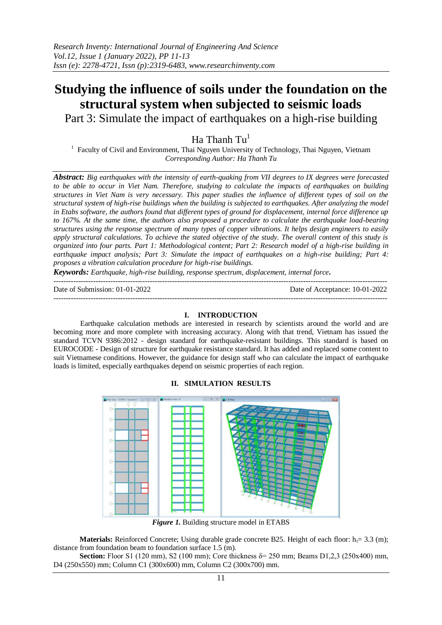# **Studying the influence of soils under the foundation on the structural system when subjected to seismic loads**

Part 3: Simulate the impact of earthquakes on a high-rise building

Ha Thanh  $Tu^1$ 

<sup>1</sup> Faculty of Civil and Environment, Thai Nguyen University of Technology, Thai Nguyen, Vietnam *Corresponding Author: Ha Thanh Tu*

*Abstract: Big earthquakes with the intensity of earth-quaking from VII degrees to IX degrees were forecasted to be able to occur in Viet Nam. Therefore, studying to calculate the impacts of earthquakes on building structures in Viet Nam is very necessary. This paper studies the influence of different types of soil on the structural system of high-rise buildings when the building is subjected to earthquakes. After analyzing the model in Etabs software, the authors found that different types of ground for displacement, internal force difference up to 167%. At the same time, the authors also proposed a procedure to calculate the earthquake load-bearing structures using the response spectrum of many types of copper vibrations. It helps design engineers to easily apply structural calculations. To achieve the stated objective of the study. The overall content of this study is organized into four parts. Part 1: Methodological content; Part 2: Research model of a high-rise building in earthquake impact analysis; Part 3: Simulate the impact of earthquakes on a high-rise building; Part 4: proposes a vibration calculation procedure for high-rise buildings.*

*Keywords: Earthquake, high-rise building, response spectrum, displacement, internal force.*

Date of Submission: 01-01-2022 Date of Acceptance: 10-01-2022

### **I. INTRODUCTION**

---------------------------------------------------------------------------------------------------------------------------------------

---------------------------------------------------------------------------------------------------------------------------------------

Earthquake calculation methods are interested in research by scientists around the world and are becoming more and more complete with increasing accuracy. Along with that trend, Vietnam has issued the standard TCVN 9386:2012 - design standard for earthquake-resistant buildings. This standard is based on EUROCODE - Design of structure for earthquake resistance standard. It has added and replaced some content to suit Vietnamese conditions. However, the guidance for design staff who can calculate the impact of earthquake loads is limited, especially earthquakes depend on seismic properties of each region.



# **II. SIMULATION RESULTS**

*Figure 1.* Building structure model in ETABS

**Materials:** Reinforced Concrete; Using durable grade concrete B25. Height of each floor:  $h_i = 3.3$  (m); distance from foundation beam to foundation surface 1.5 (m).

**Section:** Floor S1 (120 mm), S2 (100 mm); Core thickness δ= 250 mm; Beams D1,2,3 (250x400) mm, D4 (250x550) mm; Column C1 (300x600) mm, Column C2 (300x700) mm.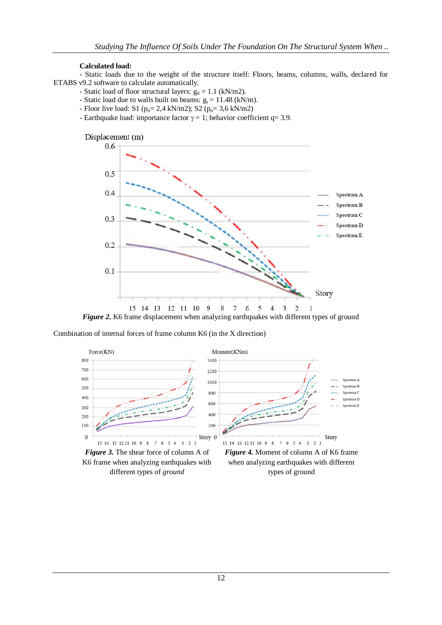## **Calculated load:**

- Static loads due to the weight of the structure itself: Floors, beams, columns, walls, declared for ETABS v9.2 software to calculate automatically.

- Static load of floor structural layers:  $g_{tt} = 1.1$  (kN/m2).
- Static load due to walls built on beams:  $g_t = 11.48$  (kN/m).
- Floor live load: S1 ( $p_{tt} = 2.4$  kN/m2); S2 ( $p_{tt} = 3.6$  kN/m2)
- Earthquake load: importance factor  $\gamma = 1$ ; behavior coefficient q= 3.9.



Combination of internal forces of frame column K6 (in the X direction)



*Figure 3.* The shear force of column A of K6 frame when analyzing earthquakes with different types of *ground*